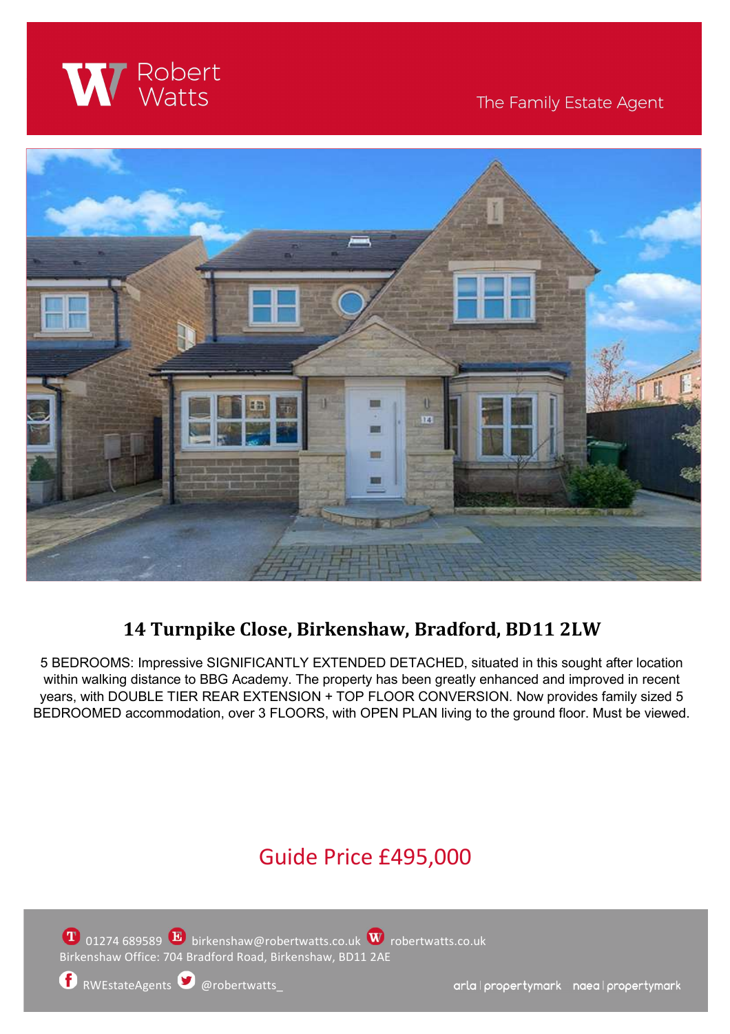

## The Family Estate Agent



## **14 Turnpike Close, Birkenshaw, Bradford, BD11 2LW**

5 BEDROOMS: Impressive SIGNIFICANTLY EXTENDED DETACHED, situated in this sought after location within walking distance to BBG Academy. The property has been greatly enhanced and improved in recent years, with DOUBLE TIER REAR EXTENSION <sup>+</sup> TOP FLOOR CONVERSION. Now provides family sized 5 BEDROOMED accommodation, over 3 FLOORS, with OPEN PLAN living to the ground floor. Must be viewed.

## Guide Price £495,000

01274 689589 **b** birkenshaw@robertwatts.co.uk **W** robertwatts.co.uk Birkenshaw Office: 704 Bradford Road, Birkenshaw, BD11 2AE

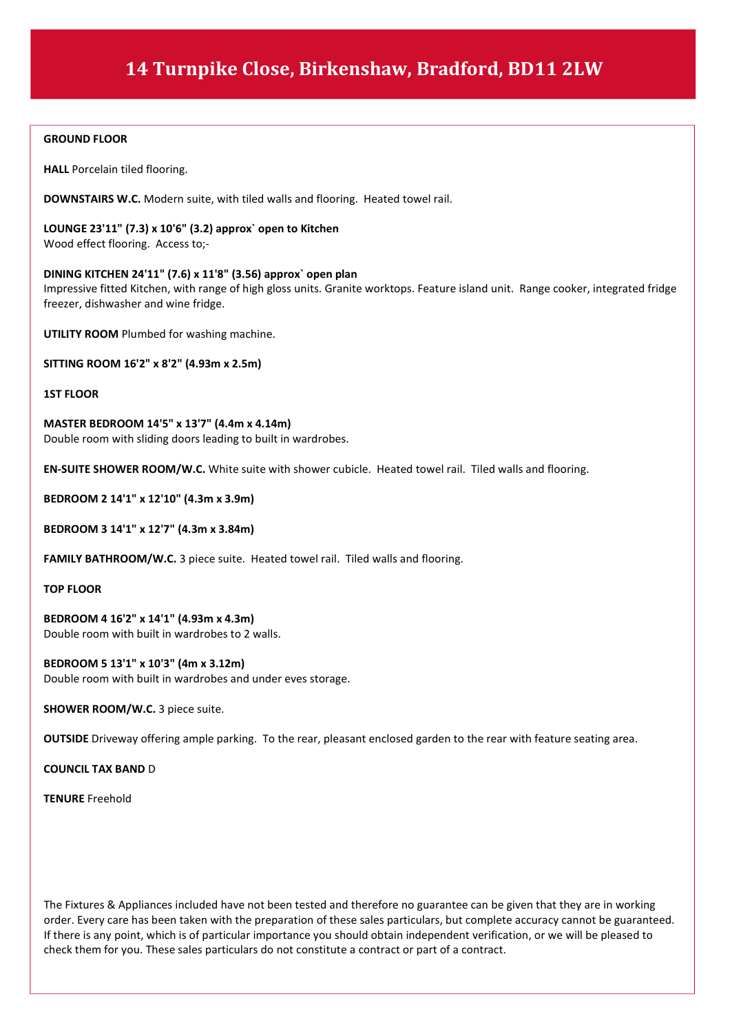## **GROUND FLOOR**

**HALL** Porcelain tiled flooring.

**DOWNSTAIRS W.C.** Modern suite, with tiled walls and flooring. Heated towel rail.

**LOUNGE 23'11" (7.3) x 10'6" (3.2) approx` open to Kitchen** Wood effect flooring. Access to;-

**DINING KITCHEN 24'11" (7.6) x 11'8" (3.56) approx` open plan** Impressive fitted Kitchen, with range of high gloss units. Granite worktops. Feature island unit. Range cooker, integrated fridge freezer, dishwasher and wine fridge.

**UTILITY ROOM** Plumbed for washing machine.

**SITTING ROOM 16'2" x 8'2" (4.93m x 2.5m)**

**1ST FLOOR**

**MASTER BEDROOM 14'5" x 13'7" (4.4m x 4.14m)** Double room with sliding doors leading to built in wardrobes.

**EN-SUITE SHOWER ROOM/W.C.** White suite with shower cubicle. Heated towel rail. Tiled walls and flooring.

**BEDROOM 2 14'1" x 12'10" (4.3m x 3.9m)**

**BEDROOM 3 14'1" x 12'7" (4.3m x 3.84m)**

**FAMILY BATHROOM/W.C.** 3 piece suite. Heated towel rail. Tiled walls and flooring.

**TOP FLOOR**

**BEDROOM 4 16'2" x 14'1" (4.93m x 4.3m)** Double room with built in wardrobes to 2 walls.

**BEDROOM 5 13'1" x 10'3" (4m x 3.12m)** Double room with built in wardrobes and under eves storage.

**SHOWER ROOM/W.C.** 3 piece suite.

**OUTSIDE** Driveway offering ample parking. To the rear, pleasant enclosed garden to the rear with feature seating area.

**COUNCIL TAX BAND** D

**TENURE** Freehold

The Fixtures & Appliances included have not been tested and therefore no guarantee can be given that they are in working order. Every care has been taken with the preparation of these sales particulars, but complete accuracy cannot be guaranteed. If there is any point, which is of particular importance you should obtain independent verification, or we will be pleased to check them for you. These sales particulars do not constitute a contract or part of a contract.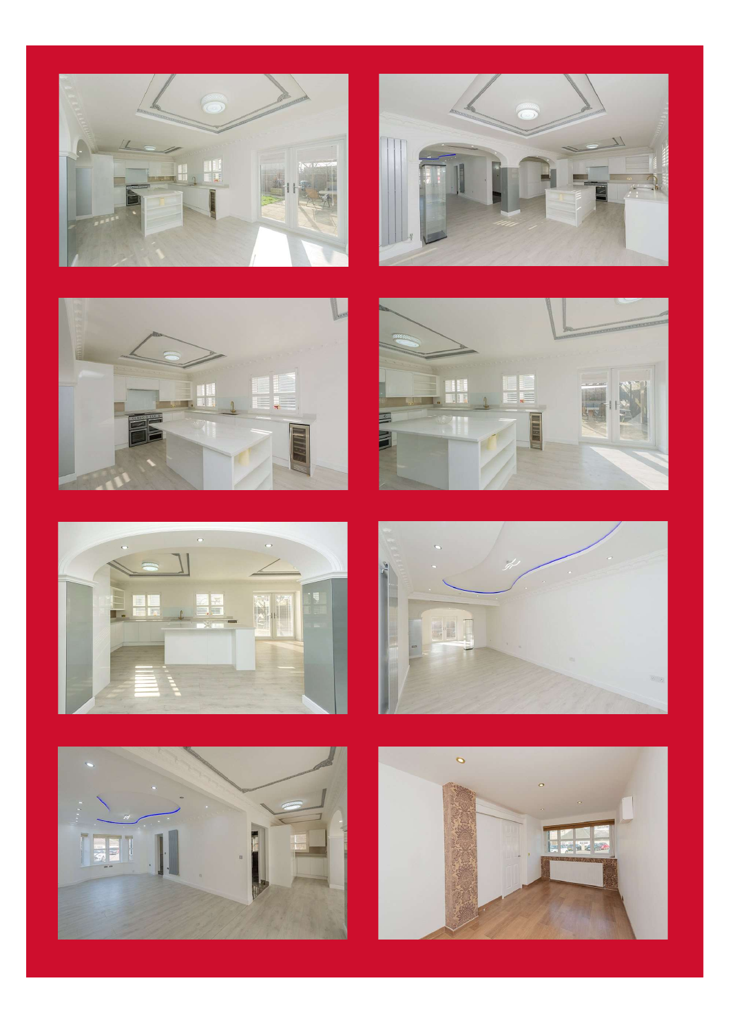